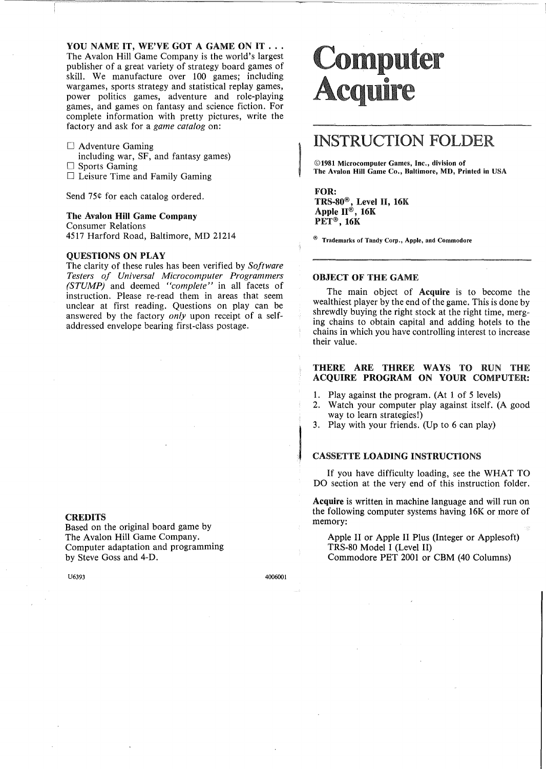YOU NAME IT, WE'VE GOT A GAME ON IT ... The Avalon Hill Game Company is the world's largest publisher of a great variety of strategy board games of skill. We manufacture over 100 games; including wargames, sports strategy and statistical replay games, power politics games, adventure and role-playing games, and games on fantasy and science fiction. For complete information with pretty pictures, write the factory and ask for a *game catalog* on:

- $\Box$  Adventure Gaming including war, SF, and fantasy games)  $\Box$  Sports Gaming
- $\Box$  Leisure Time and Family Gaming

Send 75¢ for each catalog ordered.

# The Avalon Hill Game Company

Consumer Relations 4517 Harford Road, Baltimore, MD 21214

#### QUESTIONS ON PLAY

The clarity of these rules has been verified by *Software Testers of Universal Microcomputer Programmers (STUMP)* and deemed *"complete"* in all facets of instruction. Please re-read them in areas that seem unclear at first reading. Questions on play can be answered by the factory *only* upon receipt of a selfaddressed envelope bearing first-class postage.

#### **CREDITS**

Based on the original board game by The Avalon Hill Game Company. Computer adaptation and programming by Steve Goss and 4-D.

# **Computer** cquire

# INSTRUCTION FOLDER

©1981 Microcomputer Games, Inc., division of The Avalon **Hill** Game Co., Baltimore, MD, Printed in USA

#### FOR:

TRS-80®, Level H, 16K Apple H®, 16K PET®, 16K

 $^{\circledR}$  Trademarks of Tandy Corp., Apple, and Commodore

## OBJECT OF THE GAME

The main object of Acquire is to become the wealthiest player by the end of the game. This is done by shrewdly buying the right stock at the right time, merging chains to obtain capital and adding hotels to the chains in which you have controlling interest to increase their value.

# THERE ARE THREE WAYS TO RUN THE ACQUIRE PROGRAM ON YOUR COMPUTER:

- 
- 1. Play against the program. (At 1 of 5 levels) 2. Watch your computer play against itself. Watch your computer play against itself. (A good way to learn strategies!)
- 3. Play with your friends. (Up to 6 can play)

#### CASSETTE LOADING INSTRUCTIONS

If you have difficulty loading, see the WHAT TO DO section at the very end of this instruction folder.

Acquire is written in machine language and will run on the following computer systems having 16K or more of memory:

Apple II or Apple II Plus (Integer or Applesoft) TRS-80 Model I (Level II) Commodore PET 2001 or CBM (40 Columns)

U6393 4006001

J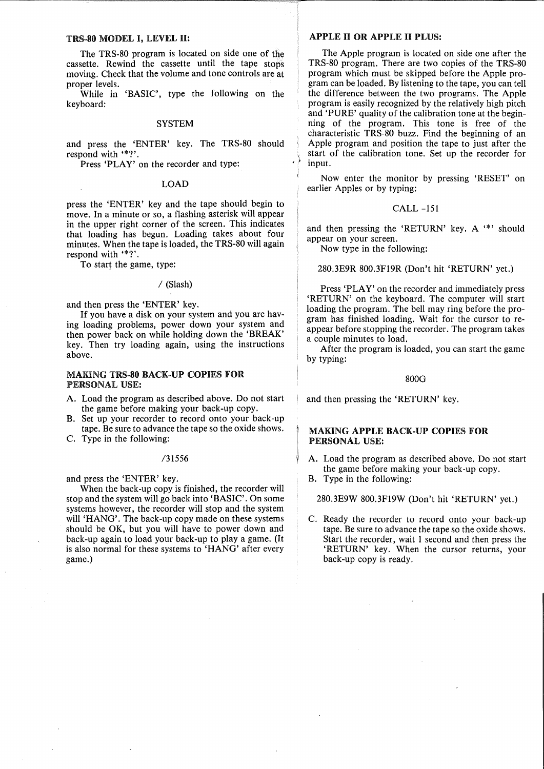#### TRS-80 MODEL I, LEVEL II:

The TRS-80 program is located on side one of the cassette. Rewind the cassette until the tape stops moving. Check that the volume and tone controls are at proper levels.

While in 'BASIC', type the following on the keyboard:

#### SYSTEM

and press the 'ENTER' key. The TRS-80 should respond with '\*?'.

Press 'PLAY' on the recorder and type:

# LOAD

press the 'ENTER' key and the tape should begin to move. In a minute or so, a flashing asterisk will appear in the upper right corner of the screen. This indicates that loading has begun. Loading takes about four minutes. When the tape is loaded, the TRS-80 will again respond with '\*?'.

To start the game, type:

#### / (Slash)

and then press the 'ENTER' key.

If you have a disk on your system and you are having loading problems, power down your system and then power back on while holding down the 'BREAK' key. Then try loading again, using the instructions above.

# MAKING TRS-80 BACK·UP COPIES FOR PERSONAL USE:

- A. Load the program as described above. Do not start the game before making your back-up copy.
- B. Set up your recorder to record onto your back-up tape. Be sure to advance the tape so the oxide shows.
- C. Type in the following:

#### /31556

and press the 'ENTER' key.

When the back-up copy is finished, the recorder will stop and the system will go back into 'BASIC'. On some systems however, the recorder will stop and the system will 'HANG'. The back-up copy made on these systems should be OK, but you will have to power down and back-up again to load your back-up to playa game. (It is also normal for these systems to 'HANG' after every game.)

## APPLE II OR APPLE II PLUS:

The Apple program is located on side one after the TRS-80 program. There are two copies of the TRS-80 program which must be skipped before the Apple program can be loaded. By listening to the tape, you can tell the difference between the two programs. The Apple program is easily recognized by the relatively high pitch and 'PURE' quality of the calibration tone at the beginning of the program. This tone is free of the characteristic TRS-80 buzz. Find the beginning of an Apple program and position the tape to just after the start of the calibration tone. Set up the recorder for input.

Now enter the monitor by pressing 'RESET' on earlier Apples or by typing:

#### CALL -151

and then pressing the 'RETURN' key. A '\*' should appear on your screen.

Now type in the following:

#### 280.3E9R 800.3FI9R (Don't hit 'RETURN' yet.)

Press 'PLAY' on the recorder and immediately press 'RETURN' on the keyboard. The computer will start loading the program. The bell may ring before the program has finished loading. Wait for the cursor to reappear before stopping the recorder. The program takes a couple minutes to load.

After the program is loaded, you can start the game by typing:

#### 800G

and then pressing the 'RETURN' key.

#### MAKING APPLE BACK·UP COPIES FOR PERSONAL USE:

- A. Load the program as described above. Do not start the game before making your back-up copy.
- B. Type in the following:

280.3E9W 800.3FI9W (Don't hit 'RETURN' yet.)

C. Ready the recorder to record onto your back-up tape. Be sure to advance the tape so the oxide shows. Start the recorder, wait 1 second and then press the 'RETURN' key. When the cursor returns, your back-up copy is ready.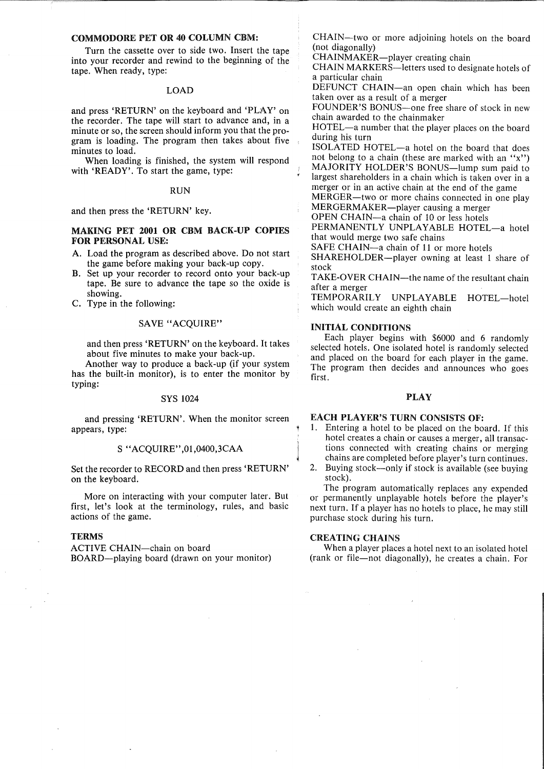#### COMMODORE PET OR 40 COLUMN CBM:

Turn the cassette over to side two. Insert the tape into your recorder and rewind to the beginning of the tape. When ready, type:

#### LOAD

and press 'RETURN' on the keyboard and 'PLAY' on the recorder. The tape will start to advance and, in a minute or so, the screen should inform you that the program is loading. The program then takes about five minutes to load.

When loading is finished, the system will respond with 'READY'. To start the game, type:

#### RUN

and then press the 'RETURN' key.

# MAKING PET 2001 OR CBM BACK-UP COPIES FOR PERSONAL USE:

- A. Load the program as described above. Do not start the game before making your back-up copy.
- B. Set up your recorder to record onto your back-up tape. Be sure to advance the tape so the oxide is showing.
- C. Type in the following:

#### SAVE "ACQUIRE"

and then press 'RETURN' on the keyboard. It takes about five minutes to make your back-up.

Another way to produce a back-up (if your system has the built-in monitor), is to enter the monitor by typing:

# SYS 1024

and pressing 'RETURN'. When the monitor screen appears, type:

#### S "ACQUIRE" ,01 ,0400,3CAA

Set the recorder to RECORD and then press 'RETURN' on the keyboard.

More on interacting with your computer later. But first, let's look at the terminology, rules, and basic actions of the game.

#### **TERMS**

ACTIVE CHAIN-chain on board BOARD-playing board (drawn on your monitor)

CHAIN-two or more adjoining hotels on the board (not diagonally)

CHAINMAKER-player creating chain

CHAIN MARKERS-letters used to designate hotels of a particular chain

DEFUNCT CHAIN-an open chain which has been taken over as a result of a merger

FOUNDER'S BONUS-one free share of stock in new chain awarded to the chainmaker

HOTEL-a number that the player places on the board during his turn

ISOLATED HOTEL-a hotel on the board that does not belong to a chain (these are marked with an " $x$ ") MAJORITY HOLDER'S BONUS-lump sum paid to largest shareholders in a chain which is taken over in a merger or in an active chain at the end of the game

MERGER-two or more chains connected in one play MERGERMAKER-player causing a merger

OPEN CHAIN-a chain of 10 or less hotels

PERMANENTLY UNPLAYABLE HOTEL-a hotel that would merge two safe chains

SAFE CHAIN-a chain of 11 or more hotels

SHAREHOLDER-player owning at least 1 share of stock

TAKE-OVER CHAIN-the name of the resultant chain after a merger

TEMPORARILY UNPLAYABLE HOTEL-hotel which would create an eighth chain

#### INITIAL CONDITIONS

Each player begins with \$6000 and 6 randomly selected hotels. One isolated hotel is randomly selected and placed on the board for each player in the game. The program then decides and announces who goes first.

# PLAY

## EACH PLAYER'S TURN CONSISTS OF:

- 1. Entering a hotel to be placed on the board. If this hotel creates a chain or causes a merger, all transactions connected with creating chains or merging chains are completed before player's turn continues.
- 2. Buying stock-only if stock is available (see buying stock).

The program automatically replaces any expended or permanently unplayable hotels before the player's next turn. If a player has no hotels to place, he may still purchase stock during his turn.

## CREATING CHAINS

When a player places a hotel next to an isolated hotel (rank or file-not diagonally), he creates a chain. For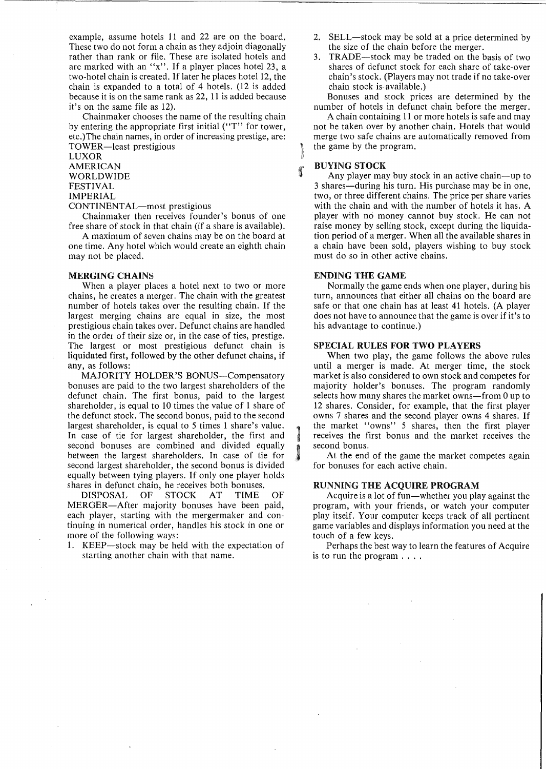example, assume hotels 11 and 22 are on the board. These two do not form a chain as they adjoin diagonally rather than rank or file. These are isolated hotels and are marked with an "x". If a player places hotel 23, a two-hotel chain is created. If later he places hotel 12, the chain is expanded to a total of 4 hotels. (12 is added because it is on the same rank as 22, 11 is added because it's on the same file as 12).

Chainmaker chooses the name of the resulting chain by entering the appropriate first initial ("T" for tower, etc.)The chain names, in order of increasing prestige, are: TOWER-least prestigious

LUXOR AMERICAN WORLDWIDE FESTIVAL

IMPERIAL

CONTINENTAL-most prestigious

Chainmaker then receives founder's bonus of one free share of stock in that chain (if a share is available).

A maximum of seven chains may be on the board at one time. Any hotel which would create an eighth chain may not be placed.

#### MERGING CHAINS

When a player places a hotel next to two or more chains, he creates a merger. The chain with the greatest number of hotels takes over the resulting chain. If the largest merging chains are equal in size, the most prestigious chain takes over. Defunct chains are handled in the order of their size or, in the case of ties, prestige. The largest or most prestigious defunct chain is liquidated first, followed by the other defunct chains, if any, as follows:

MAJORITY HOLDER'S BONUS-Compensatory bonuses are paid to the two largest shareholders of the defunct chain. The first bonus, paid to the largest shareholder, is equal to 10 times the value of 1 share of the defunct stock. The second bonus, paid to the second largest shareholder, is equal to 5 times 1 share's value. In case of tie for largest shareholder, the first and second bonuses are combined and divided equally between the largest shareholders. In case of tie for second largest shareholder, the second bonus is divided equally between tying players. If only one player holds shares in defunct chain, he receives both bonuses.<br>DISPOSAL OF STOCK AT TIME

DISPOSAL OF STOCK AT TIME OF MERGER-After majority bonuses have been paid, each player, starting with the mergermaker and continuing in numerical order, handles his stock in one or more of the following ways:

1. KEEP—stock may be held with the expectation of starting another chain with that name.

- 2. SELL-stock may be sold at a price determined by the size of the chain before the merger.
- 3. TRADE-stock may be traded on the basis of two shares of defunct stock for each share of take-over chain's stock. (Players may not trade if no take-over chain stock is· available.)

Bonuses and stock prices are determined by the number of hotels in defunct chain before the merger.

A chain containing 11 or more hotels is safe and may not be taken over by another chain. Hotels that would merge two safe chains are automatically removed from the game by the program.

# BUYING STOCK

]

f

1

Any player may buy stock in an active chain—up to 3 shares-during his turn. His purchase may be in one, two, or three different chains. The price per share varies with the chain and with the number of hotels it has. A player with no money cannot buy stock. He can not raise money by selling stock, except during the liquidation period of a merger. When all the available shares in a chain have been sold, players wishing to buy stock must do so in other active chains.

# ENDING THE GAME

Normally the game ends when one player, during his turn, announces that either all chains on the board are safe or that one chain has at least 41 hotels. (A player does not have to announce that the game is over if it's to his advantage to continue.)

#### SPECIAL RULES FOR TWO PLAYERS

When two play, the game follows the above rules until a merger is made. At merger time, the stock market is also considered to own stock and competes for majority holder's bonuses. The program randomly selects how many shares the market owns-from 0 up to 12 shares. Consider, for example, that the first player owns 7 shares and the second player owns 4 shares. If the market "owns" 5 shares, then the first player receives the first bonus and the market receives the second bonus.

At the end of the game the market competes again for bonuses for each active chain.

#### RUNNING THE ACQUIRE PROGRAM

Acquire is a lot of fun—whether you play against the program, with your friends, or watch your computer play itself. Your computer keeps track of all pertinent game variables and displays information you need at the touch of a few keys.

Perhaps the best way to learn the features of Acquire is to run the program ....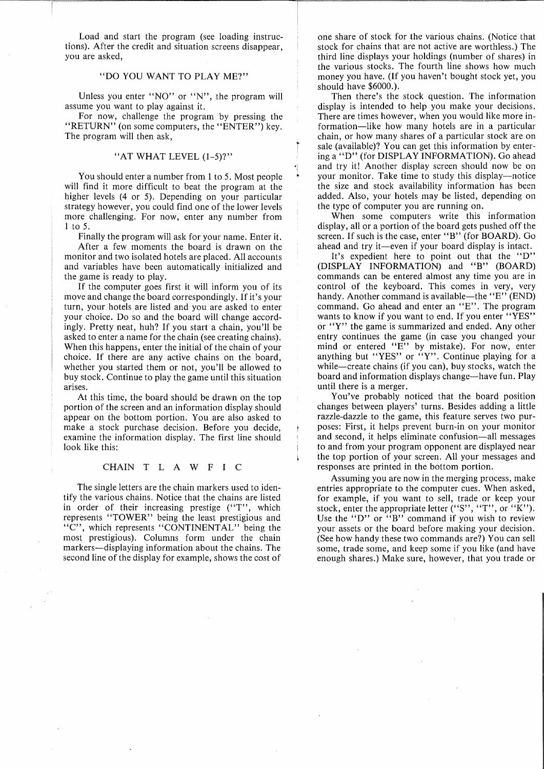Load and start the program (see loading instructions). After the credit and situation screens disappear, you are asked,

# "DO YOU WANT TO PLAY ME?"

Unless you enter "NO" or "N", the program will assume you want to play against it.

For now, challenge the program by pressing the "RETURN" (on some computers, the "ENTER") key. The program will then ask,

# "AT WHAT LEVEL  $(1-5)$ ?"

 $\ddot{\phantom{a}}$ 

"i

You should enter a number from 1 to 5. Most people will find it more difficult to beat the program at the higher levels (4 or 5). Depending on your particular strategy however, you could find one of the lower levels more challenging. For now, enter any number from 1 to 5.

Finally the program will ask for your name. Enter it. After a few moments the board is drawn on the

monitor and two isolated hotels are placed. All accounts and variables have been automatically initialized and the game is ready to play.

If the computer goes first it will inform you of its move and change the board correspondingly. If it's your turn, your hotels are listed and you are asked to enter your choice. Do so and the board will change accordingly. Pretty neat, huh? If you start a chain, you'll be asked to enter a name for the chain (see creating chains). When this happens, enter the initial of the chain of your choice. If there are any active chains on the board, whether you started them or not, you'll be allowed to buy stock. Continue to play the game until this situation arises.

At this time, the board should be drawn on the top portion of the screen and an information display should appear on the bottom portion. You are also asked to make a stock purchase decision. Before you decide, examine the information display. The first line should look like this:

### CHAIN <sup>T</sup> LAW F I C

The single letters are the chain markers used to identify the various chains. Notice that the chains are listed in order of their increasing prestige ("T", which represents "TOWER" being the least prestigious and "C", which represents "CONTINENTAL" being the most prestigious). Columns form under the chain markers-displaying information about the chains. The second line of the display for example, shows the cost of

one share of stock for the various chains. (Notice that stock for chains that are not active are worthless.) The third line displays your holdings (number of shares) in the various stocks. The fourth line shows how much money you have. (If you haven't bought stock yet, you should have \$6000.).

Then there's the stock question. The information display is intended to help you make your decisions. There are times however, when you would like more information-like how many hotels are in a particular chain, or how many shares of a particular stock are on sale (available)? You can get this information by entering a "D" (for DISPLAY INFORMATION). Go ahead and try it! Another display screen should now be on your monitor. Take time to study this display—notice the size and stock availability information has been added. Also, your hotels may be listed, depending on the type of computer you are running on.

When some computers write this information display, all or a portion of the board gets pushed off the screen. If such is the case, enter "B" (for BOARD). Go ahead and try it—even if your board display is intact.

It's expedient here to point out that the "D" (DISPLAY INFORMATION) and "B" (BOARD) commands can be entered almost any time you are in control of the keyboard. This comes in very, very handy. Another command is available-the "E" (END) command. Go ahead and enter an "E". The program wants to know if you want to end. If you enter "YES" or "Y" the game is summarized and ended. Any other entry continues the game (in case you changed your mind or entered "E" by mistake). For now, enter anything but "YES" or "Y". Continue playing for a while—create chains (if you can), buy stocks, watch the board and information displays change-have fun. Play until there is a merger.

You've probably noticed that the board position changes between players' turns. Besides adding a little razzle-dazzle to the game, this feature serves two purposes: First, it helps prevent burn-in on your monitor and second, it helps eliminate confusion-all messages to and from your program opponent are displayed near the top portion of your screen. All your messages and responses are printed in the bottom portion.

Assuming you are now in the merging process, make entries appropriate to the computer cues. When asked, for example, if you want to sell, trade or keep your stock, enter the appropriate letter ("S", "T", or "K"). Use the "D" or "B" command if you wish to review your assets or the board before making your decision. (See how handy these two commands are?) You can sell some, trade some, and keep some if you like (and have enough shares.) Make sure, however, that you trade or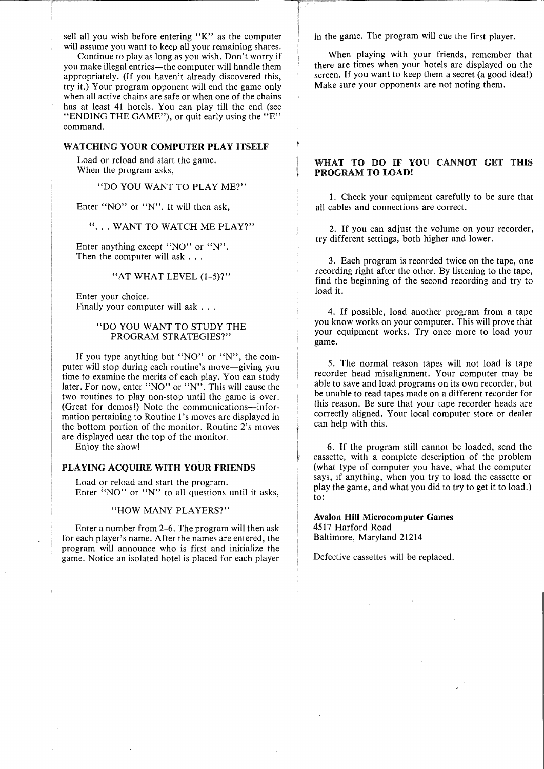sell all you wish before entering "K" as the computer will assume you want to keep all your remaining shares.

Continue to playas long as you wish. Don't worry if you make illegal entries—the computer will handle them appropriately. (If you haven't already discovered this, try it.) Your program opponent will end the game only when all active chains are safe or when one of the chains has at least 41 hotels. You can play till the end (see "ENDING THE GAME"), or quit early using the "E" command.

# WATCHING YOUR COMPUTER PLAY ITSELF

Load or reload and start the game. When the program asks,

"DO YOU WANT TO PLAY ME?"

Enter "NO" or "N". It will then ask,

"... WANT TO WATCH ME PLAY?"

Enter anything except "NO" or "N". Then the computer will ask . . .

### "AT WHAT LEVEL (1-5)?"

Enter your choice. Finally your computer will ask . . .

# "DO YOU WANT TO STUDY THE PROGRAM STRATEGIES?"

If you type anything but "NO" or "N", the computer will stop during each routine's move-giving you time to examine the merits of each play. You can study later. For now, enter "NO" or "N"<sup>,</sup> This will cause the two routines to play non-stop until the game is over. (Great for demos!) Note the communications-information pertaining to Routine 1's moves are displayed in the bottom portion of the monitor. Routine 2's moves are displayed near the top of the monitor.

Enjoy the show!

# PLAYING ACQUIRE WITH YOUR FRIENDS

Load or reload and start the program. Enter "NO" or "N" to all questions until it asks,

#### "HOW MANY PLAYERS?"

Enter a number from 2-6. The program will then ask for each player's name. After the names are entered, the program will announce who is first and initialize the game. Notice an isolated hotel is placed for each player in the game. The program will cue the first player.

When playing with your friends, remember that there are times when your hotels are displayed on the screen. If you want to keep them a secret (a good idea!) Make sure your opponents are not noting them.

# WHAT TO DO IF YOU CANNOT GET THIS PROGRAM TO LOAD!

1. Check your equipment carefully to be sure that all cables and connections are correct.

2. If you can adjust the volume on your recorder, try different settings, both higher and lower.

3. Each program is recorded twice on the tape, one recording right after the other. By listening to the tape, find the beginning of the second recording and try to load it.

4. If possible, load another program from a tape you know works on your computer. This will prove that your equipment works. Try once more to load your game.

5. The normal reason tapes will not load is tape recorder head misalignment. Your computer may be able to save and load programs on its own recorder, but be unable to read tapes made on a different recorder for this reason. Be sure that your tape recorder heads are correctly aligned. Your local computer store or dealer can help with this.

6. If the program still cannot be loaded, send the cassette, with a complete description of the problem (what type of computer you have, what the computer says, if anything, when you try to load the cassette or play the game, and what you did to try to get it to load.) to:

Avalon Hill Microcomputer Games 4517 Harford Road Baltimore, Maryland 21214

Defective cassettes will be replaced.